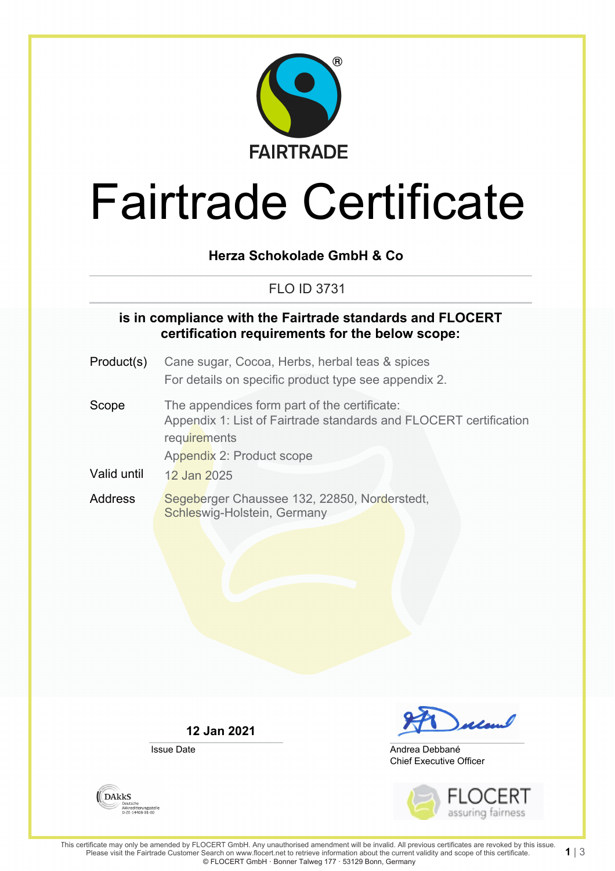

# Fairtrade Certificate

## **Herza Schokolade GmbH & Co**

# FLO ID 3731

### **is in compliance with the Fairtrade standards and FLOCERT certification requirements for the below scope:**

- Product(s) Cane sugar, Cocoa, Herbs, herbal teas & spices For details on specific product type see appendix 2.
- Scope The appendices form part of the certificate: Appendix 1: List of Fairtrade standards and FLOCERT certification **requirements** Appendix 2: Product scope
- Valid until 12 Jan 2025
- Address Segeberger Chaussee 132, 22850, Norderstedt, Schleswig-Holstein, Germany

**12 Jan 2021**

Issue Date



Chief Executive Officer Andrea Debbané



1| $3$ 

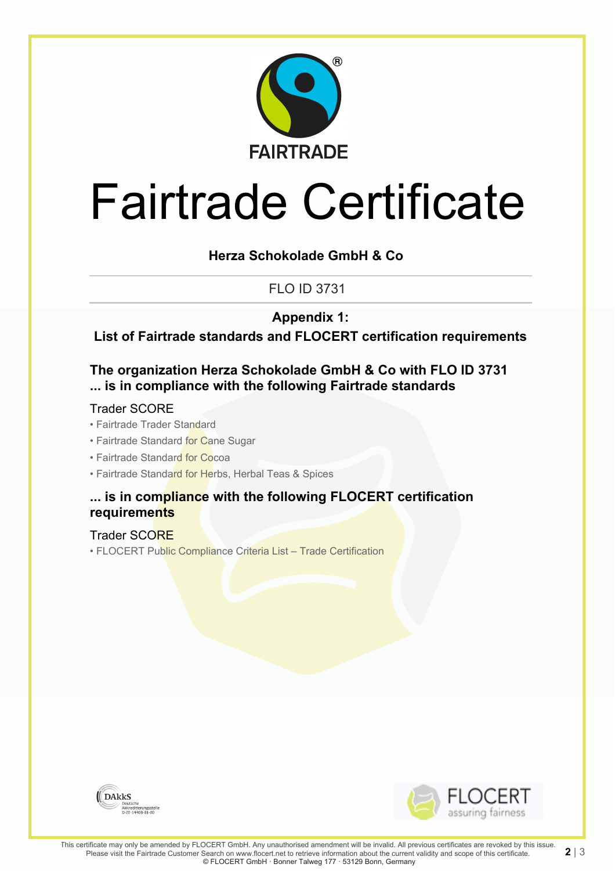

# Fairtrade Certificate

## **Herza Schokolade GmbH & Co**

# FLO ID 3731

**Appendix 1:**

**List of Fairtrade standards and FLOCERT certification requirements**

## **The organization Herza Schokolade GmbH & Co with FLO ID 3731 ... is in compliance with the following Fairtrade standards**

#### Trader SCORE

- Fairtrade Trader Standard
- Fairtrade Standard for Cane Sugar
- Fairtrade Standard for Cocoa
- Fairtrade Standard for Herbs, Herbal Teas & Spices

### **... is in compliance with the following FLOCERT certification requirements**

#### Trader SCORE

• FLOCERT Public Compliance Criteria List – Trade Certification